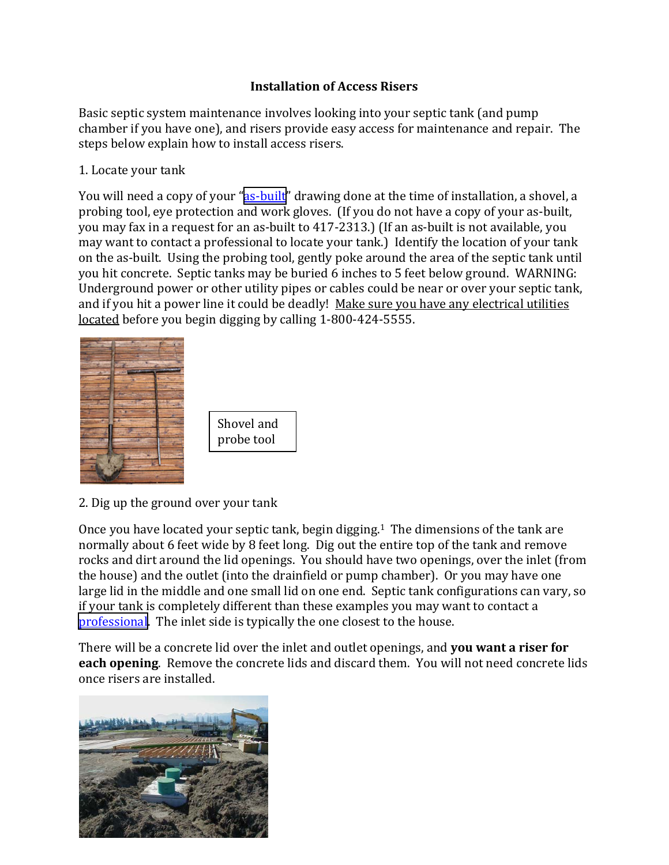## **Installation of Access Risers**

Basic septic system maintenance involves looking into your septic tank (and pump chamber if you have one), and risers provide easy access for maintenance and repair. The steps below explain how to install access risers.

1. Locate your tank

You will need a copy of your "as-built" drawing done at the time of installation, a shovel, a probing tool, eye protection and work gloves. (If you do not have a copy of your as‐built, you may fax in a request for an as‐built to 417‐2313.) (If an as‐built is not available, you may want to contact a professional to locate your tank.) Identify the location of your tank on the as‐built. Using the probing tool, gently poke around the area of the septic tank until you hit concrete. Septic tanks may be buried 6 inches to 5 feet below ground. WARNING: Underground power or other utility pipes or cables could be near or over your septic tank, and if you hit a power line it could be deadly! Make sure you have any electrical utilities located before you begin digging by calling 1‐800‐424‐5555.



2. Dig up the ground over your tank

Once you have located your septic tank, begin digging.1 The dimensions of the tank are normally about 6 feet wide by 8 feet long. Dig out the entire top of the tank and remove rocks and dirt around the lid openings. You should have two openings, over the inlet (from the house) and the outlet (into the drainfield or pump chamber). Or you may have one large lid in the middle and one small lid on one end. Septic tank configurations can vary, so if your tank is completely different than these examples you may want to contact a [professional](http://www.clallam.net/HHS/EnvironmentalHealth/onsite_professionals.html). The inlet side is typically the one closest to the house.

There will be a concrete lid over the inlet and outlet openings, and **you want a riser for each opening**. Remove the concrete lids and discard them. You will not need concrete lids once risers are installed.

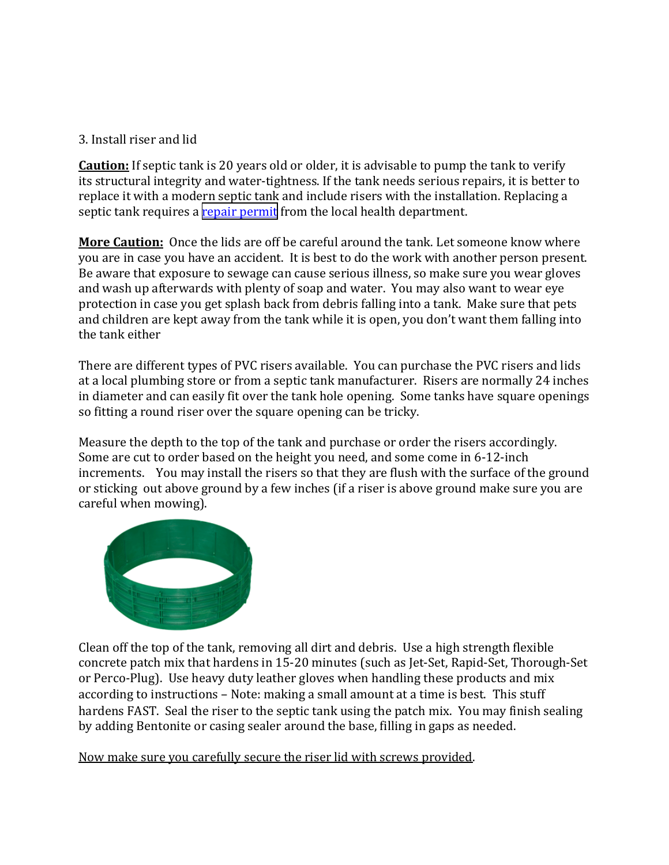## 3. Install riser and lid

**Caution:** If septic tank is 20 years old or older, it is advisable to pump the tank to verify its structural integrity and water‐tightness. If the tank needs serious repairs, it is better to replace it with a modern septic tank and include risers with the installation. Replacing a septic tank requires a [repair permit](http://www.clallam.net/HHS/EnvironmentalHealth/onsite_permitting.html) from the local health department.

**More Caution:** Once the lids are off be careful around the tank. Let someone know where you are in case you have an accident. It is best to do the work with another person present. Be aware that exposure to sewage can cause serious illness, so make sure you wear gloves and wash up afterwards with plenty of soap and water. You may also want to wear eye protection in case you get splash back from debris falling into a tank. Make sure that pets and children are kept away from the tank while it is open, you don't want them falling into the tank either

There are different types of PVC risers available. You can purchase the PVC risers and lids at a local plumbing store or from a septic tank manufacturer. Risers are normally 24 inches in diameter and can easily fit over the tank hole opening. Some tanks have square openings so fitting a round riser over the square opening can be tricky.

Measure the depth to the top of the tank and purchase or order the risers accordingly. Some are cut to order based on the height you need, and some come in 6‐12‐inch increments. You may install the risers so that they are flush with the surface of the ground or sticking out above ground by a few inches (if a riser is above ground make sure you are careful when mowing).



Clean off the top of the tank, removing all dirt and debris. Use a high strength flexible concrete patch mix that hardens in 15‐20 minutes (such as Jet‐Set, Rapid‐Set, Thorough‐Set or Perco‐Plug). Use heavy duty leather gloves when handling these products and mix according to instructions – Note: making a small amount at a time is best. This stuff hardens FAST. Seal the riser to the septic tank using the patch mix. You may finish sealing by adding Bentonite or casing sealer around the base, filling in gaps as needed.

Now make sure you carefully secure the riser lid with screws provided.